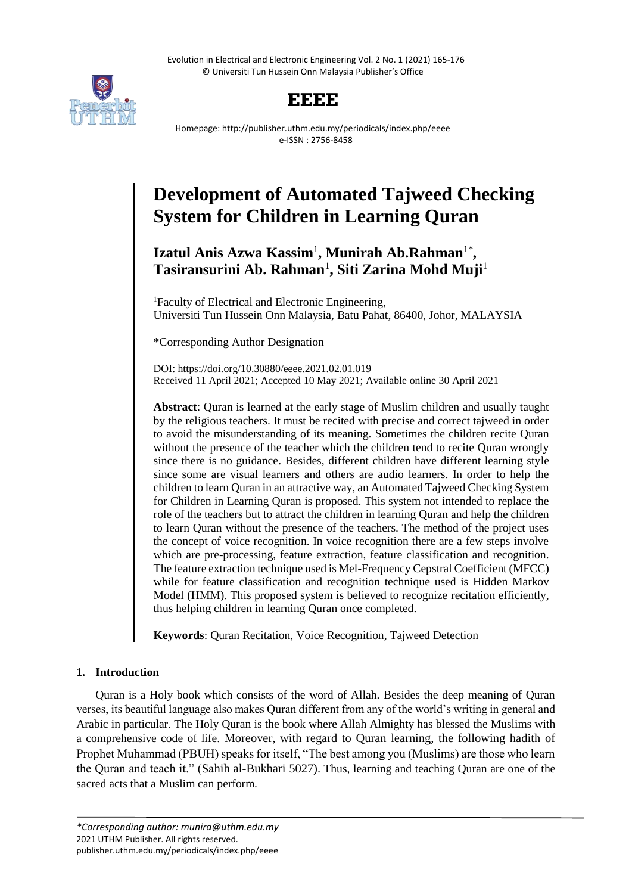Evolution in Electrical and Electronic Engineering Vol. 2 No. 1 (2021) 165-176 © Universiti Tun Hussein Onn Malaysia Publisher's Office



## **EEEE**

Homepage: http://publisher.uthm.edu.my/periodicals/index.php/eeee e-ISSN : 2756-8458

# **Development of Automated Tajweed Checking System for Children in Learning Quran**

## Izatul Anis Azwa Kassim<sup>1</sup>, Munirah Ab.Rahman<sup>1\*</sup>, **Tasiransurini Ab. Rahman**<sup>1</sup> **, Siti Zarina Mohd Muji**<sup>1</sup>

<sup>1</sup>Faculty of Electrical and Electronic Engineering, Universiti Tun Hussein Onn Malaysia, Batu Pahat, 86400, Johor, MALAYSIA

\*Corresponding Author Designation

DOI: https://doi.org/10.30880/eeee.2021.02.01.019 Received 11 April 2021; Accepted 10 May 2021; Available online 30 April 2021

**Abstract**: Quran is learned at the early stage of Muslim children and usually taught by the religious teachers. It must be recited with precise and correct tajweed in order to avoid the misunderstanding of its meaning. Sometimes the children recite Quran without the presence of the teacher which the children tend to recite Quran wrongly since there is no guidance. Besides, different children have different learning style since some are visual learners and others are audio learners. In order to help the children to learn Quran in an attractive way, an Automated Tajweed Checking System for Children in Learning Quran is proposed. This system not intended to replace the role of the teachers but to attract the children in learning Quran and help the children to learn Quran without the presence of the teachers. The method of the project uses the concept of voice recognition. In voice recognition there are a few steps involve which are pre-processing, feature extraction, feature classification and recognition. The feature extraction technique used is Mel-Frequency Cepstral Coefficient (MFCC) while for feature classification and recognition technique used is Hidden Markov Model (HMM). This proposed system is believed to recognize recitation efficiently, thus helping children in learning Quran once completed.

**Keywords**: Quran Recitation, Voice Recognition, Tajweed Detection

### **1. Introduction**

Quran is a Holy book which consists of the word of Allah. Besides the deep meaning of Quran verses, its beautiful language also makes Quran different from any of the world's writing in general and Arabic in particular. The Holy Quran is the book where Allah Almighty has blessed the Muslims with a comprehensive code of life. Moreover, with regard to Quran learning, the following hadith of Prophet Muhammad (PBUH) speaks for itself, "The best among you (Muslims) are those who learn the Quran and teach it." (Sahih al-Bukhari 5027). Thus, learning and teaching Quran are one of the sacred acts that a Muslim can perform.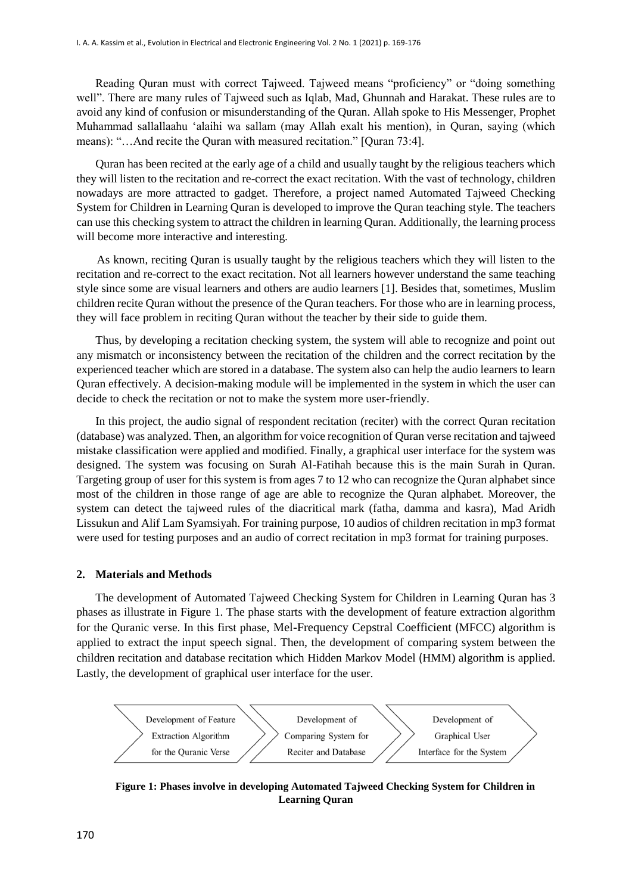Reading Quran must with correct Tajweed. Tajweed means "proficiency" or "doing something well". There are many rules of Tajweed such as Iqlab, Mad, Ghunnah and Harakat. These rules are to avoid any kind of confusion or misunderstanding of the Quran. Allah spoke to His Messenger, Prophet Muhammad sallallaahu 'alaihi wa sallam (may Allah exalt his mention), in Quran, saying (which means): "…And recite the Quran with measured recitation." [Quran 73:4].

Quran has been recited at the early age of a child and usually taught by the religious teachers which they will listen to the recitation and re-correct the exact recitation. With the vast of technology, children nowadays are more attracted to gadget. Therefore, a project named Automated Tajweed Checking System for Children in Learning Quran is developed to improve the Quran teaching style. The teachers can use this checking system to attract the children in learning Quran. Additionally, the learning process will become more interactive and interesting.

 As known, reciting Quran is usually taught by the religious teachers which they will listen to the recitation and re-correct to the exact recitation. Not all learners however understand the same teaching style since some are visual learners and others are audio learners [1]. Besides that, sometimes, Muslim children recite Quran without the presence of the Quran teachers. For those who are in learning process, they will face problem in reciting Quran without the teacher by their side to guide them.

Thus, by developing a recitation checking system, the system will able to recognize and point out any mismatch or inconsistency between the recitation of the children and the correct recitation by the experienced teacher which are stored in a database. The system also can help the audio learners to learn Quran effectively. A decision-making module will be implemented in the system in which the user can decide to check the recitation or not to make the system more user-friendly.

In this project, the audio signal of respondent recitation (reciter) with the correct Quran recitation (database) was analyzed. Then, an algorithm for voice recognition of Quran verse recitation and tajweed mistake classification were applied and modified. Finally, a graphical user interface for the system was designed. The system was focusing on Surah Al-Fatihah because this is the main Surah in Quran. Targeting group of user for this system is from ages 7 to 12 who can recognize the Quran alphabet since most of the children in those range of age are able to recognize the Quran alphabet. Moreover, the system can detect the tajweed rules of the diacritical mark (fatha, damma and kasra), Mad Aridh Lissukun and Alif Lam Syamsiyah. For training purpose, 10 audios of children recitation in mp3 format were used for testing purposes and an audio of correct recitation in mp3 format for training purposes.

#### **2. Materials and Methods**

The development of Automated Tajweed Checking System for Children in Learning Quran has 3 phases as illustrate in Figure 1. The phase starts with the development of feature extraction algorithm for the Quranic verse. In this first phase, Mel-Frequency Cepstral Coefficient (MFCC) algorithm is applied to extract the input speech signal. Then, the development of comparing system between the children recitation and database recitation which Hidden Markov Model (HMM) algorithm is applied. Lastly, the development of graphical user interface for the user.



**Figure 1: Phases involve in developing Automated Tajweed Checking System for Children in Learning Quran**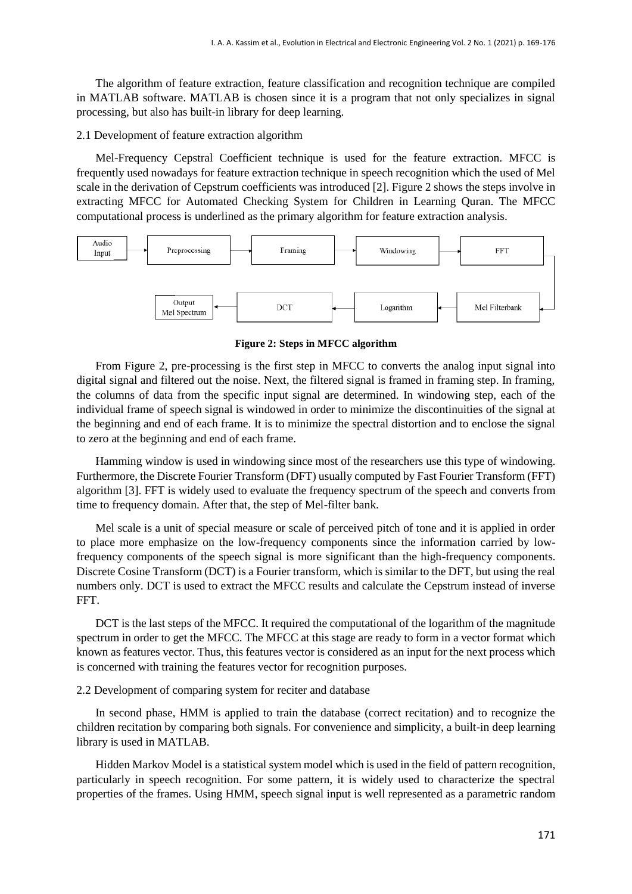The algorithm of feature extraction, feature classification and recognition technique are compiled in MATLAB software. MATLAB is chosen since it is a program that not only specializes in signal processing, but also has built-in library for deep learning.

#### 2.1 Development of feature extraction algorithm

Mel-Frequency Cepstral Coefficient technique is used for the feature extraction. MFCC is frequently used nowadays for feature extraction technique in speech recognition which the used of Mel scale in the derivation of Cepstrum coefficients was introduced [2]. Figure 2 shows the steps involve in extracting MFCC for Automated Checking System for Children in Learning Quran. The MFCC computational process is underlined as the primary algorithm for feature extraction analysis.



**Figure 2: Steps in MFCC algorithm**

From Figure 2, pre-processing is the first step in MFCC to converts the analog input signal into digital signal and filtered out the noise. Next, the filtered signal is framed in framing step. In framing, the columns of data from the specific input signal are determined. In windowing step, each of the individual frame of speech signal is windowed in order to minimize the discontinuities of the signal at the beginning and end of each frame. It is to minimize the spectral distortion and to enclose the signal to zero at the beginning and end of each frame.

Hamming window is used in windowing since most of the researchers use this type of windowing. Furthermore, the Discrete Fourier Transform (DFT) usually computed by Fast Fourier Transform (FFT) algorithm [3]. FFT is widely used to evaluate the frequency spectrum of the speech and converts from time to frequency domain. After that, the step of Mel-filter bank.

Mel scale is a unit of special measure or scale of perceived pitch of tone and it is applied in order to place more emphasize on the low-frequency components since the information carried by lowfrequency components of the speech signal is more significant than the high-frequency components. Discrete Cosine Transform (DCT) is a Fourier transform, which is similar to the DFT, but using the real numbers only. DCT is used to extract the MFCC results and calculate the Cepstrum instead of inverse FFT.

DCT is the last steps of the MFCC. It required the computational of the logarithm of the magnitude spectrum in order to get the MFCC. The MFCC at this stage are ready to form in a vector format which known as features vector. Thus, this features vector is considered as an input for the next process which is concerned with training the features vector for recognition purposes.

2.2 Development of comparing system for reciter and database

In second phase, HMM is applied to train the database (correct recitation) and to recognize the children recitation by comparing both signals. For convenience and simplicity, a built-in deep learning library is used in MATLAB.

Hidden Markov Model is a statistical system model which is used in the field of pattern recognition, particularly in speech recognition. For some pattern, it is widely used to characterize the spectral properties of the frames. Using HMM, speech signal input is well represented as a parametric random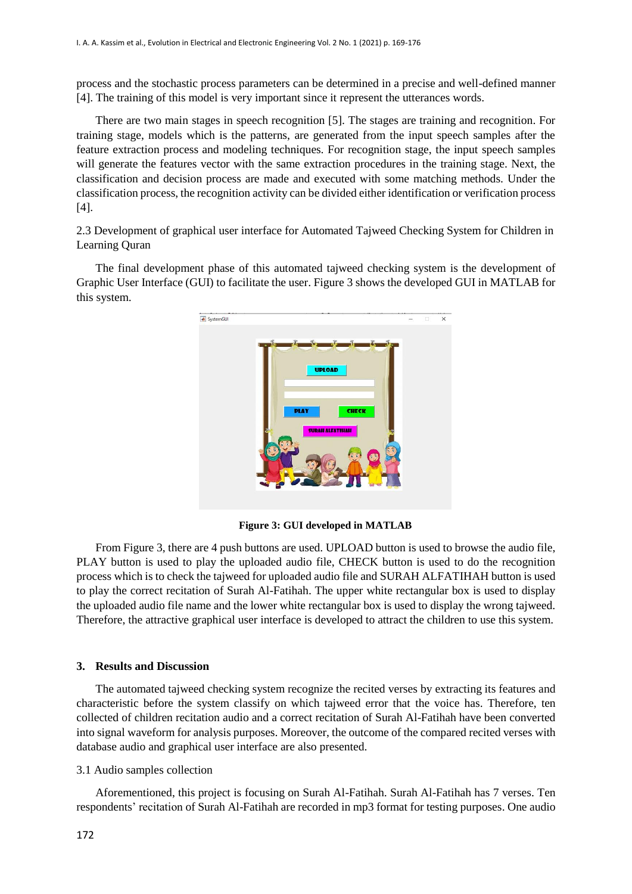process and the stochastic process parameters can be determined in a precise and well-defined manner [4]. The training of this model is very important since it represent the utterances words.

There are two main stages in speech recognition [5]. The stages are training and recognition. For training stage, models which is the patterns, are generated from the input speech samples after the feature extraction process and modeling techniques. For recognition stage, the input speech samples will generate the features vector with the same extraction procedures in the training stage. Next, the classification and decision process are made and executed with some matching methods. Under the classification process, the recognition activity can be divided either identification or verification process [4].

2.3 Development of graphical user interface for Automated Tajweed Checking System for Children in Learning Quran

The final development phase of this automated tajweed checking system is the development of Graphic User Interface (GUI) to facilitate the user. Figure 3 shows the developed GUI in MATLAB for this system.



**Figure 3: GUI developed in MATLAB**

From Figure 3, there are 4 push buttons are used. UPLOAD button is used to browse the audio file, PLAY button is used to play the uploaded audio file, CHECK button is used to do the recognition process which is to check the tajweed for uploaded audio file and SURAH ALFATIHAH button is used to play the correct recitation of Surah Al-Fatihah. The upper white rectangular box is used to display the uploaded audio file name and the lower white rectangular box is used to display the wrong tajweed. Therefore, the attractive graphical user interface is developed to attract the children to use this system.

#### **3. Results and Discussion**

The automated tajweed checking system recognize the recited verses by extracting its features and characteristic before the system classify on which tajweed error that the voice has. Therefore, ten collected of children recitation audio and a correct recitation of Surah Al-Fatihah have been converted into signal waveform for analysis purposes. Moreover, the outcome of the compared recited verses with database audio and graphical user interface are also presented.

#### 3.1 Audio samples collection

Aforementioned, this project is focusing on Surah Al-Fatihah. Surah Al-Fatihah has 7 verses. Ten respondents' recitation of Surah Al-Fatihah are recorded in mp3 format for testing purposes. One audio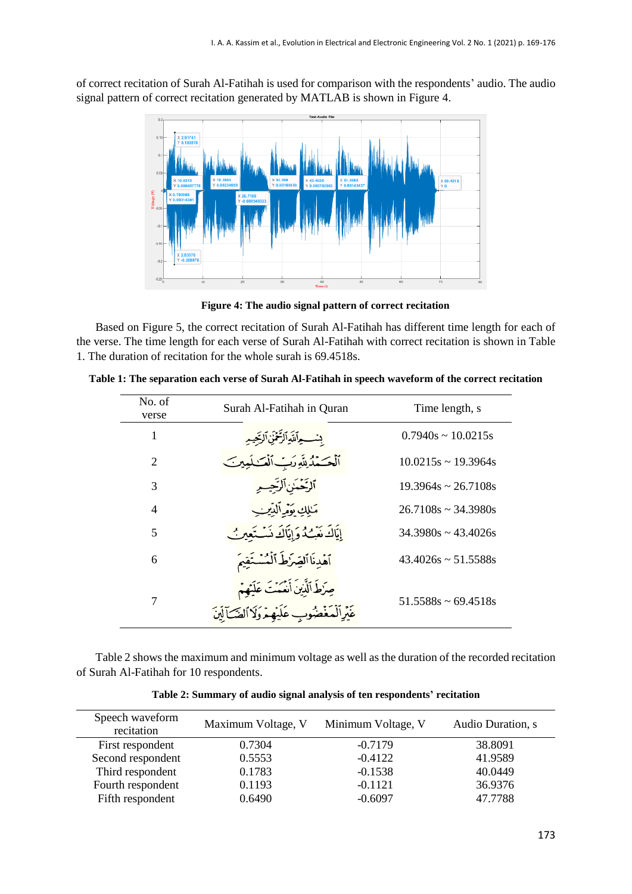of correct recitation of Surah Al-Fatihah is used for comparison with the respondents' audio. The audio signal pattern of correct recitation generated by MATLAB is shown in Figure 4.



**Figure 4: The audio signal pattern of correct recitation** 

Based on Figure 5, the correct recitation of Surah Al-Fatihah has different time length for each of the verse. The time length for each verse of Surah Al-Fatihah with correct recitation is shown in Table 1. The duration of recitation for the whole surah is 69.4518s.

| No. of<br>verse             | Surah Al-Fatihah in Quran                                                                      | Time length, s              |
|-----------------------------|------------------------------------------------------------------------------------------------|-----------------------------|
| 1                           | بسواللَهِالرَّحْمَنِ الرَّحِيمِ                                                                | $0.7940s \approx 10.0215s$  |
| $\mathcal{D}_{\mathcal{L}}$ | ٱلۡحَـَمۡدُلِلَّهِ رَبِّ ٱلۡعَـٰـٰلَمِینَـ                                                     | $10.0215s \sim 19.3964s$    |
| 3                           | ٱلرَّحۡمَٰنِٱلرَّحِيــِهِ                                                                      | $19.3964s \approx 26.7108s$ |
| $\overline{4}$              | مَـٰلِكِ تَوَمَّرِ ٱلدِّينِبِ                                                                  | $26.7108s \approx 34.3980s$ |
| 5                           | إِيَّاكَ نَعْبُ2ُ وَإِيَّاكَ نَسْتَعْيِنُ                                                      | $34.3980s \approx 43.4026s$ |
| 6                           | ٱهۡدِنَاٱلۡضِرۡطَ ٱلۡمُسۡتَقِيمَ                                                               | $43.4026s \approx 51.5588s$ |
| $\overline{7}$              | صِرْطَ ٱلَّذِينَ أَنْعَمَتَ عَلَيْهِمْ<br>عَيْرِ ٱلْمَغْضُوبِ عَلَيْهِمْ وَلَا ٱلضَّـَأَلَيْنَ | $51.5588s \approx 69.4518s$ |

**Table 1: The separation each verse of Surah Al-Fatihah in speech waveform of the correct recitation**

Table 2 shows the maximum and minimum voltage as well as the duration of the recorded recitation of Surah Al-Fatihah for 10 respondents.

| Speech waveform<br>recitation | Maximum Voltage, V | Minimum Voltage, V | Audio Duration, s |
|-------------------------------|--------------------|--------------------|-------------------|
| First respondent              | 0.7304             | $-0.7179$          | 38.8091           |
| Second respondent             | 0.5553             | $-0.4122$          | 41.9589           |
| Third respondent              | 0.1783             | $-0.1538$          | 40.0449           |
| Fourth respondent             | 0.1193             | $-0.1121$          | 36.9376           |
| Fifth respondent              | 0.6490             | $-0.6097$          | 47.7788           |

**Table 2: Summary of audio signal analysis of ten respondents' recitation**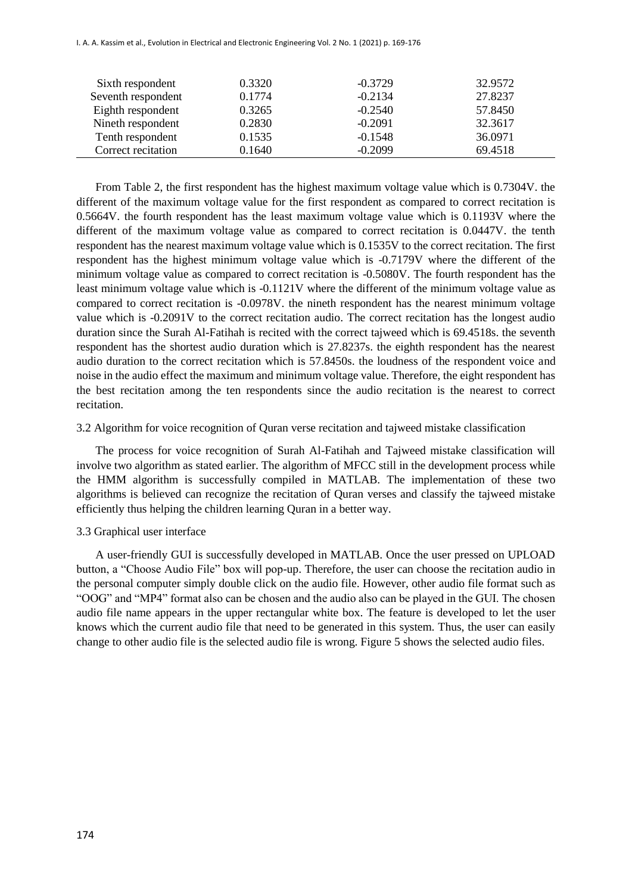I. A. A. Kassim et al., Evolution in Electrical and Electronic Engineering Vol. 2 No. 1 (2021) p. 169-176

| 32.9572 |
|---------|
| 27.8237 |
| 57.8450 |
| 32.3617 |
| 36.0971 |
| 69.4518 |
|         |

From Table 2, the first respondent has the highest maximum voltage value which is 0.7304V. the different of the maximum voltage value for the first respondent as compared to correct recitation is 0.5664V. the fourth respondent has the least maximum voltage value which is 0.1193V where the different of the maximum voltage value as compared to correct recitation is 0.0447V. the tenth respondent has the nearest maximum voltage value which is 0.1535V to the correct recitation. The first respondent has the highest minimum voltage value which is -0.7179V where the different of the minimum voltage value as compared to correct recitation is -0.5080V. The fourth respondent has the least minimum voltage value which is -0.1121V where the different of the minimum voltage value as compared to correct recitation is -0.0978V. the nineth respondent has the nearest minimum voltage value which is -0.2091V to the correct recitation audio. The correct recitation has the longest audio duration since the Surah Al-Fatihah is recited with the correct tajweed which is 69.4518s. the seventh respondent has the shortest audio duration which is 27.8237s. the eighth respondent has the nearest audio duration to the correct recitation which is 57.8450s. the loudness of the respondent voice and noise in the audio effect the maximum and minimum voltage value. Therefore, the eight respondent has the best recitation among the ten respondents since the audio recitation is the nearest to correct recitation.

#### 3.2 Algorithm for voice recognition of Quran verse recitation and tajweed mistake classification

The process for voice recognition of Surah Al-Fatihah and Tajweed mistake classification will involve two algorithm as stated earlier. The algorithm of MFCC still in the development process while the HMM algorithm is successfully compiled in MATLAB. The implementation of these two algorithms is believed can recognize the recitation of Quran verses and classify the tajweed mistake efficiently thus helping the children learning Quran in a better way.

#### 3.3 Graphical user interface

i.

A user-friendly GUI is successfully developed in MATLAB. Once the user pressed on UPLOAD button, a "Choose Audio File" box will pop-up. Therefore, the user can choose the recitation audio in the personal computer simply double click on the audio file. However, other audio file format such as "OOG" and "MP4" format also can be chosen and the audio also can be played in the GUI. The chosen audio file name appears in the upper rectangular white box. The feature is developed to let the user knows which the current audio file that need to be generated in this system. Thus, the user can easily change to other audio file is the selected audio file is wrong. Figure 5 shows the selected audio files.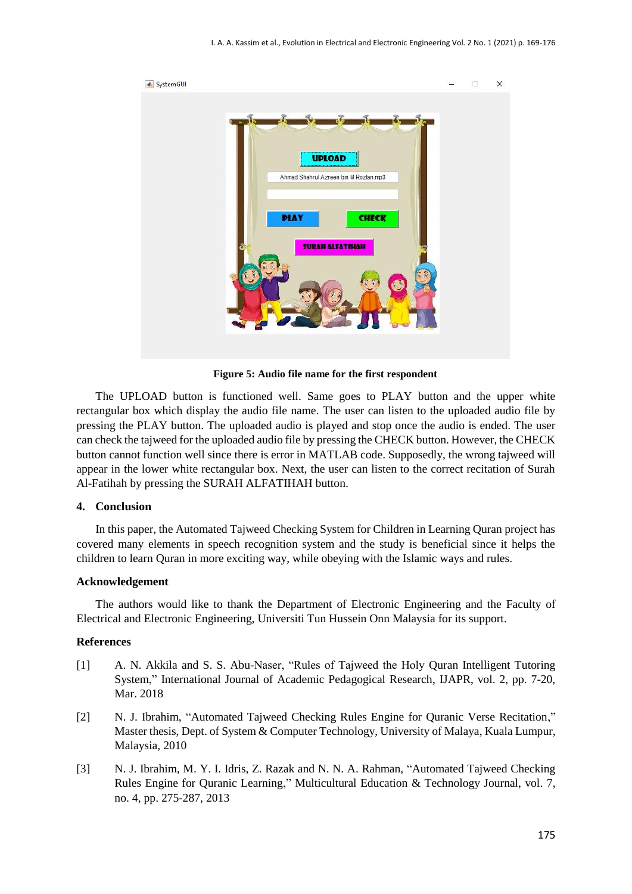

**Figure 5: Audio file name for the first respondent**

The UPLOAD button is functioned well. Same goes to PLAY button and the upper white rectangular box which display the audio file name. The user can listen to the uploaded audio file by pressing the PLAY button. The uploaded audio is played and stop once the audio is ended. The user can check the tajweed for the uploaded audio file by pressing the CHECK button. However, the CHECK button cannot function well since there is error in MATLAB code. Supposedly, the wrong tajweed will appear in the lower white rectangular box. Next, the user can listen to the correct recitation of Surah Al-Fatihah by pressing the SURAH ALFATIHAH button.

#### **4. Conclusion**

In this paper, the Automated Tajweed Checking System for Children in Learning Quran project has covered many elements in speech recognition system and the study is beneficial since it helps the children to learn Quran in more exciting way, while obeying with the Islamic ways and rules.

#### **Acknowledgement**

The authors would like to thank the Department of Electronic Engineering and the Faculty of Electrical and Electronic Engineering, Universiti Tun Hussein Onn Malaysia for its support.

#### **References**

- [1] A. N. Akkila and S. S. Abu-Naser, "Rules of Tajweed the Holy Quran Intelligent Tutoring System," International Journal of Academic Pedagogical Research, IJAPR, vol. 2, pp. 7-20, Mar. 2018
- [2] N. J. Ibrahim, "Automated Tajweed Checking Rules Engine for Quranic Verse Recitation," Master thesis, Dept. of System & Computer Technology, University of Malaya, Kuala Lumpur, Malaysia, 2010
- [3] N. J. Ibrahim, M. Y. I. Idris, Z. Razak and N. N. A. Rahman, "Automated Tajweed Checking Rules Engine for Quranic Learning," Multicultural Education & Technology Journal, vol. 7, no. 4, pp. 275-287, 2013